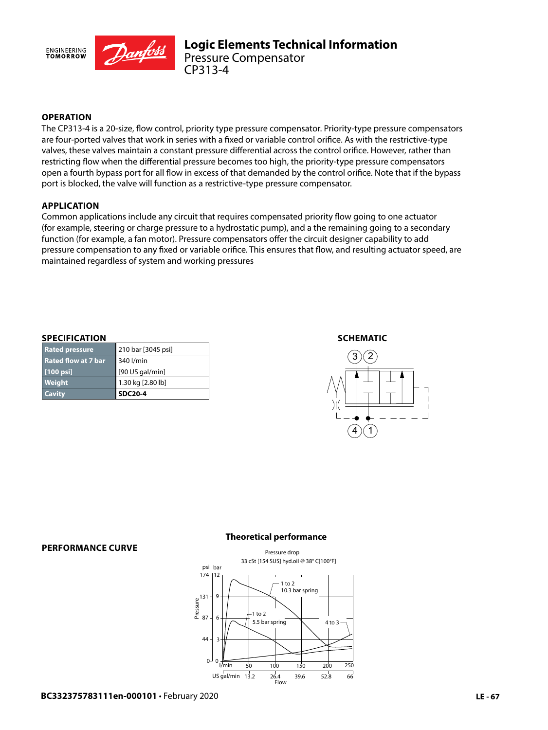

## **OPERATION**

The CP313-4 is a 20-size, flow control, priority type pressure compensator. Priority-type pressure compensators are four-ported valves that work in series with a fixed or variable control orifice. As with the restrictive-type valves, these valves maintain a constant pressure differential across the control orifice. However, rather than restricting flow when the differential pressure becomes too high, the priority-type pressure compensators open a fourth bypass port for all flow in excess of that demanded by the control orifice. Note that if the bypass port is blocked, the valve will function as a restrictive-type pressure compensator.

### **APPLICATION**

Common applications include any circuit that requires compensated priority flow going to one actuator (for example, steering or charge pressure to a hydrostatic pump), and a the remaining going to a secondary function (for example, a fan motor). Pressure compensators offer the circuit designer capability to add pressure compensation to any fixed or variable orifice. This ensures that flow, and resulting actuator speed, are maintained regardless of system and working pressures

#### **SPECIFICATION**

| <b>Cavity</b>              | <b>SDC20-4</b>     |
|----------------------------|--------------------|
| <b>Weight</b>              | 1.30 kg [2.80 lb]  |
| $[100$ psi]                | [90 US gal/min]    |
| <b>Rated flow at 7 bar</b> | 340 l/min          |
| <b>Rated pressure</b>      | 210 bar [3045 psi] |

#### **SCHEMATIC**



#### **PERFORMANCE CURVE**

#### **Theoretical performance**